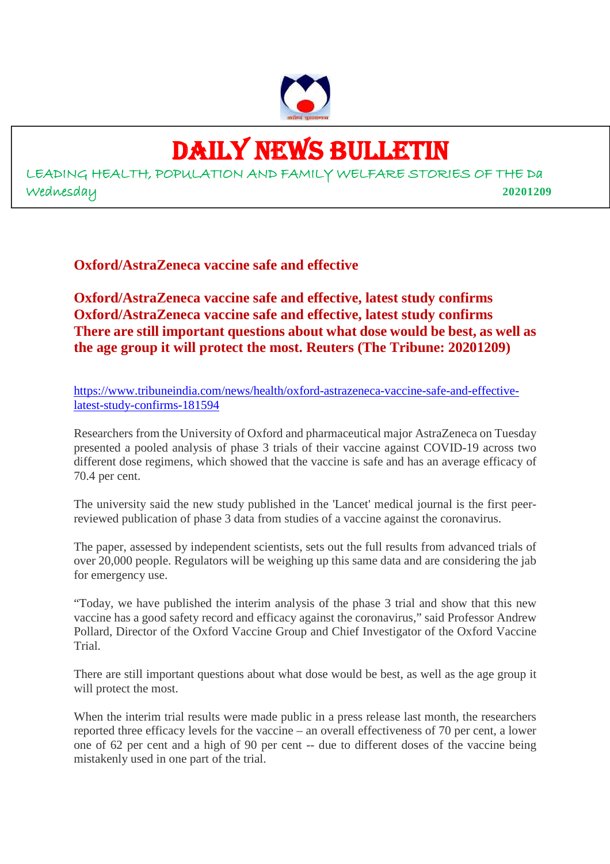

# DAILY NEWS BULLETIN

LEADING HEALTH, POPULATION AND FAMILY WELFARE STORIES OF THE Da Wednesday **20201209**

**Oxford/AstraZeneca vaccine safe and effective**

**Oxford/AstraZeneca vaccine safe and effective, latest study confirms Oxford/AstraZeneca vaccine safe and effective, latest study confirms There are still important questions about what dose would be best, as well as the age group it will protect the most. Reuters (The Tribune: 20201209)**

https://www.tribuneindia.com/news/health/oxford-astrazeneca-vaccine-safe-and-effectivelatest-study-confirms-181594

Researchers from the University of Oxford and pharmaceutical major AstraZeneca on Tuesday presented a pooled analysis of phase 3 trials of their vaccine against COVID-19 across two different dose regimens, which showed that the vaccine is safe and has an average efficacy of 70.4 per cent.

The university said the new study published in the 'Lancet' medical journal is the first peerreviewed publication of phase 3 data from studies of a vaccine against the coronavirus.

The paper, assessed by independent scientists, sets out the full results from advanced trials of over 20,000 people. Regulators will be weighing up this same data and are considering the jab for emergency use.

"Today, we have published the interim analysis of the phase 3 trial and show that this new vaccine has a good safety record and efficacy against the coronavirus," said Professor Andrew Pollard, Director of the Oxford Vaccine Group and Chief Investigator of the Oxford Vaccine Trial.

There are still important questions about what dose would be best, as well as the age group it will protect the most.

When the interim trial results were made public in a press release last month, the researchers reported three efficacy levels for the vaccine – an overall effectiveness of 70 per cent, a lower one of 62 per cent and a high of 90 per cent -- due to different doses of the vaccine being mistakenly used in one part of the trial.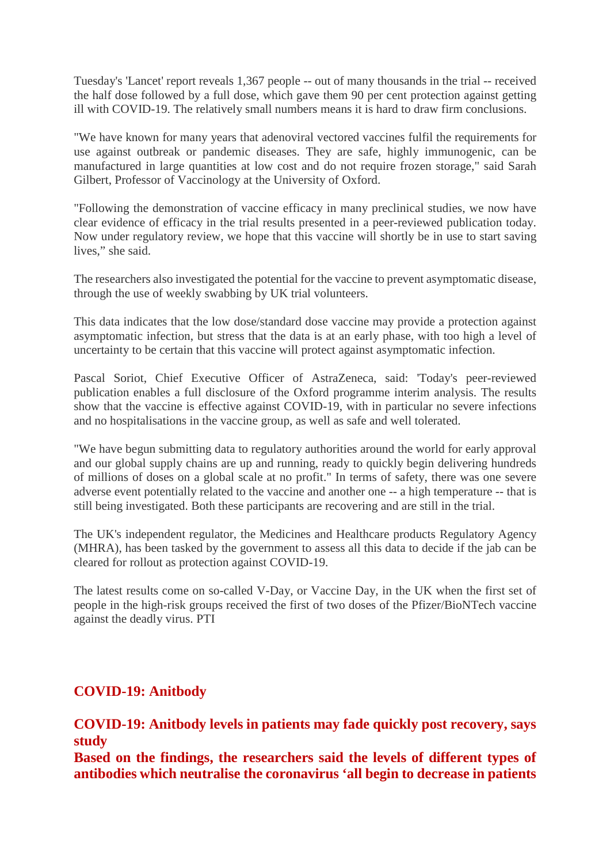Tuesday's 'Lancet' report reveals 1,367 people -- out of many thousands in the trial -- received the half dose followed by a full dose, which gave them 90 per cent protection against getting ill with COVID-19. The relatively small numbers means it is hard to draw firm conclusions.

"We have known for many years that adenoviral vectored vaccines fulfil the requirements for use against outbreak or pandemic diseases. They are safe, highly immunogenic, can be manufactured in large quantities at low cost and do not require frozen storage," said Sarah Gilbert, Professor of Vaccinology at the University of Oxford.

"Following the demonstration of vaccine efficacy in many preclinical studies, we now have clear evidence of efficacy in the trial results presented in a peer-reviewed publication today. Now under regulatory review, we hope that this vaccine will shortly be in use to start saving lives," she said.

The researchers also investigated the potential for the vaccine to prevent asymptomatic disease, through the use of weekly swabbing by UK trial volunteers.

This data indicates that the low dose/standard dose vaccine may provide a protection against asymptomatic infection, but stress that the data is at an early phase, with too high a level of uncertainty to be certain that this vaccine will protect against asymptomatic infection.

Pascal Soriot, Chief Executive Officer of AstraZeneca, said: 'Today's peer-reviewed publication enables a full disclosure of the Oxford programme interim analysis. The results show that the vaccine is effective against COVID-19, with in particular no severe infections and no hospitalisations in the vaccine group, as well as safe and well tolerated.

"We have begun submitting data to regulatory authorities around the world for early approval and our global supply chains are up and running, ready to quickly begin delivering hundreds of millions of doses on a global scale at no profit." In terms of safety, there was one severe adverse event potentially related to the vaccine and another one -- a high temperature -- that is still being investigated. Both these participants are recovering and are still in the trial.

The UK's independent regulator, the Medicines and Healthcare products Regulatory Agency (MHRA), has been tasked by the government to assess all this data to decide if the jab can be cleared for rollout as protection against COVID-19.

The latest results come on so-called V-Day, or Vaccine Day, in the UK when the first set of people in the high-risk groups received the first of two doses of the Pfizer/BioNTech vaccine against the deadly virus. PTI

# **COVID-19: Anitbody**

# **COVID-19: Anitbody levels in patients may fade quickly post recovery, says study**

**Based on the findings, the researchers said the levels of different types of antibodies which neutralise the coronavirus 'all begin to decrease in patients**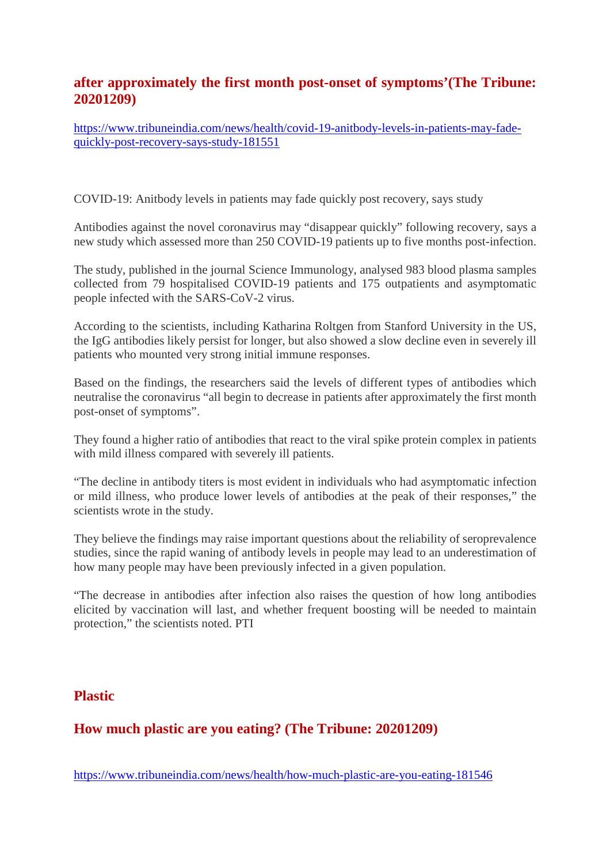# **after approximately the first month post-onset of symptoms'(The Tribune: 20201209)**

https://www.tribuneindia.com/news/health/covid-19-anitbody-levels-in-patients-may-fadequickly-post-recovery-says-study-181551

COVID-19: Anitbody levels in patients may fade quickly post recovery, says study

Antibodies against the novel coronavirus may "disappear quickly" following recovery, says a new study which assessed more than 250 COVID-19 patients up to five months post-infection.

The study, published in the journal Science Immunology, analysed 983 blood plasma samples collected from 79 hospitalised COVID-19 patients and 175 outpatients and asymptomatic people infected with the SARS-CoV-2 virus.

According to the scientists, including Katharina Roltgen from Stanford University in the US, the IgG antibodies likely persist for longer, but also showed a slow decline even in severely ill patients who mounted very strong initial immune responses.

Based on the findings, the researchers said the levels of different types of antibodies which neutralise the coronavirus "all begin to decrease in patients after approximately the first month post-onset of symptoms".

They found a higher ratio of antibodies that react to the viral spike protein complex in patients with mild illness compared with severely ill patients.

"The decline in antibody titers is most evident in individuals who had asymptomatic infection or mild illness, who produce lower levels of antibodies at the peak of their responses," the scientists wrote in the study.

They believe the findings may raise important questions about the reliability of seroprevalence studies, since the rapid waning of antibody levels in people may lead to an underestimation of how many people may have been previously infected in a given population.

"The decrease in antibodies after infection also raises the question of how long antibodies elicited by vaccination will last, and whether frequent boosting will be needed to maintain protection," the scientists noted. PTI

## **Plastic**

# **How much plastic are you eating? (The Tribune: 20201209)**

https://www.tribuneindia.com/news/health/how-much-plastic-are-you-eating-181546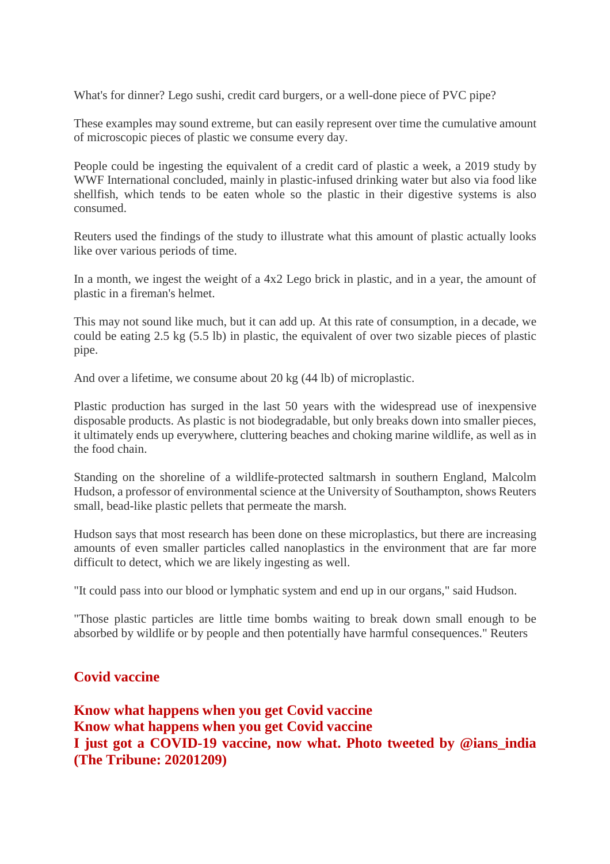What's for dinner? Lego sushi, credit card burgers, or a well-done piece of PVC pipe?

These examples may sound extreme, but can easily represent over time the cumulative amount of microscopic pieces of plastic we consume every day.

People could be ingesting the equivalent of a credit card of plastic a week, a 2019 study by WWF International concluded, mainly in plastic-infused drinking water but also via food like shellfish, which tends to be eaten whole so the plastic in their digestive systems is also consumed.

Reuters used the findings of the study to illustrate what this amount of plastic actually looks like over various periods of time.

In a month, we ingest the weight of a 4x2 Lego brick in plastic, and in a year, the amount of plastic in a fireman's helmet.

This may not sound like much, but it can add up. At this rate of consumption, in a decade, we could be eating 2.5 kg (5.5 lb) in plastic, the equivalent of over two sizable pieces of plastic pipe.

And over a lifetime, we consume about 20 kg (44 lb) of microplastic.

Plastic production has surged in the last 50 years with the widespread use of inexpensive disposable products. As plastic is not biodegradable, but only breaks down into smaller pieces, it ultimately ends up everywhere, cluttering beaches and choking marine wildlife, as well as in the food chain.

Standing on the shoreline of a wildlife-protected saltmarsh in southern England, Malcolm Hudson, a professor of environmental science at the University of Southampton, shows Reuters small, bead-like plastic pellets that permeate the marsh.

Hudson says that most research has been done on these microplastics, but there are increasing amounts of even smaller particles called nanoplastics in the environment that are far more difficult to detect, which we are likely ingesting as well.

"It could pass into our blood or lymphatic system and end up in our organs," said Hudson.

"Those plastic particles are little time bombs waiting to break down small enough to be absorbed by wildlife or by people and then potentially have harmful consequences." Reuters

# **Covid vaccine**

**Know what happens when you get Covid vaccine Know what happens when you get Covid vaccine I just got a COVID-19 vaccine, now what. Photo tweeted by @ians\_india (The Tribune: 20201209)**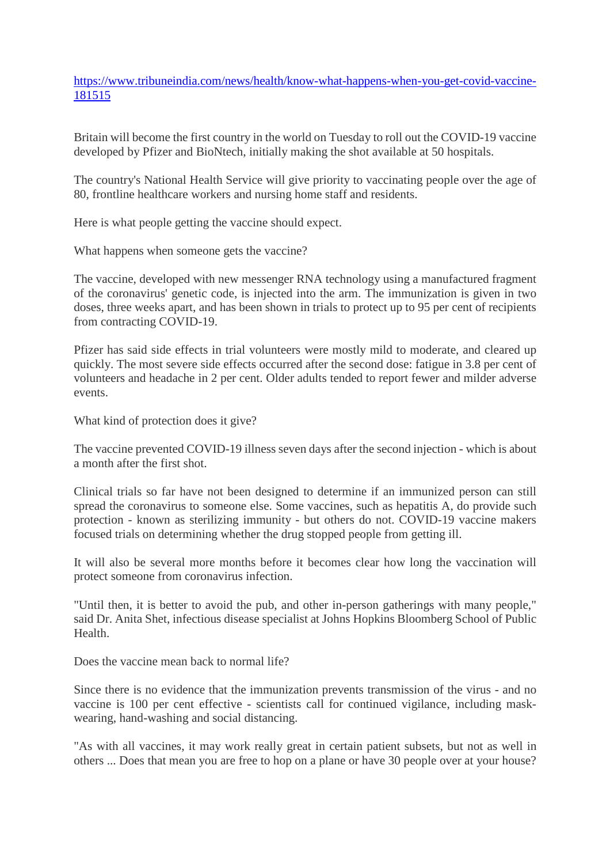https://www.tribuneindia.com/news/health/know-what-happens-when-you-get-covid-vaccine-181515

Britain will become the first country in the world on Tuesday to roll out the COVID-19 vaccine developed by Pfizer and BioNtech, initially making the shot available at 50 hospitals.

The country's National Health Service will give priority to vaccinating people over the age of 80, frontline healthcare workers and nursing home staff and residents.

Here is what people getting the vaccine should expect.

What happens when someone gets the vaccine?

The vaccine, developed with new messenger RNA technology using a manufactured fragment of the coronavirus' genetic code, is injected into the arm. The immunization is given in two doses, three weeks apart, and has been shown in trials to protect up to 95 per cent of recipients from contracting COVID-19.

Pfizer has said side effects in trial volunteers were mostly mild to moderate, and cleared up quickly. The most severe side effects occurred after the second dose: fatigue in 3.8 per cent of volunteers and headache in 2 per cent. Older adults tended to report fewer and milder adverse events.

What kind of protection does it give?

The vaccine prevented COVID-19 illness seven days after the second injection - which is about a month after the first shot.

Clinical trials so far have not been designed to determine if an immunized person can still spread the coronavirus to someone else. Some vaccines, such as hepatitis A, do provide such protection - known as sterilizing immunity - but others do not. COVID-19 vaccine makers focused trials on determining whether the drug stopped people from getting ill.

It will also be several more months before it becomes clear how long the vaccination will protect someone from coronavirus infection.

"Until then, it is better to avoid the pub, and other in-person gatherings with many people," said Dr. Anita Shet, infectious disease specialist at Johns Hopkins Bloomberg School of Public Health.

Does the vaccine mean back to normal life?

Since there is no evidence that the immunization prevents transmission of the virus - and no vaccine is 100 per cent effective - scientists call for continued vigilance, including maskwearing, hand-washing and social distancing.

"As with all vaccines, it may work really great in certain patient subsets, but not as well in others ... Does that mean you are free to hop on a plane or have 30 people over at your house?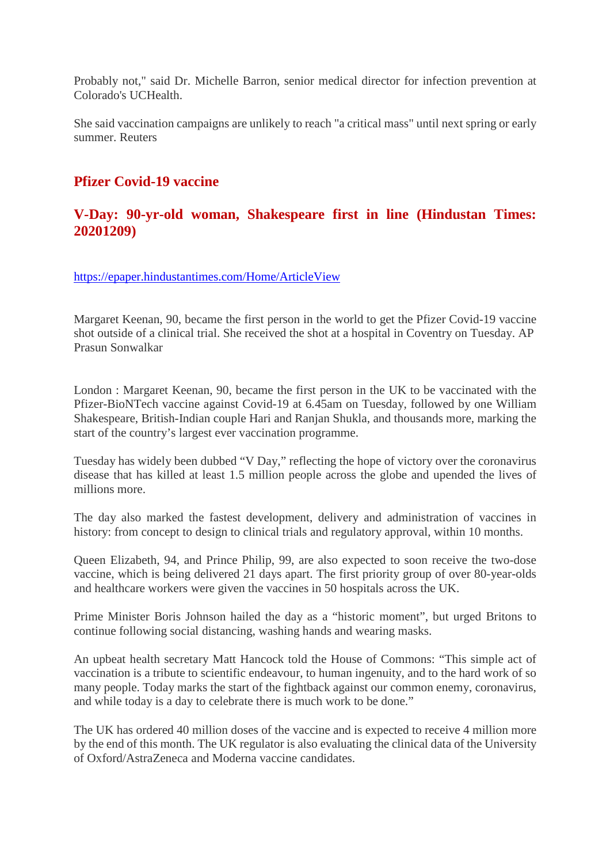Probably not," said Dr. Michelle Barron, senior medical director for infection prevention at Colorado's UCHealth.

She said vaccination campaigns are unlikely to reach "a critical mass" until next spring or early summer. Reuters

# **Pfizer Covid-19 vaccine**

# **V-Day: 90-yr-old woman, Shakespeare first in line (Hindustan Times: 20201209)**

https://epaper.hindustantimes.com/Home/ArticleView

Margaret Keenan, 90, became the first person in the world to get the Pfizer Covid-19 vaccine shot outside of a clinical trial. She received the shot at a hospital in Coventry on Tuesday. AP Prasun Sonwalkar

London : Margaret Keenan, 90, became the first person in the UK to be vaccinated with the Pfizer-BioNTech vaccine against Covid-19 at 6.45am on Tuesday, followed by one William Shakespeare, British-Indian couple Hari and Ranjan Shukla, and thousands more, marking the start of the country's largest ever vaccination programme.

Tuesday has widely been dubbed "V Day," reflecting the hope of victory over the coronavirus disease that has killed at least 1.5 million people across the globe and upended the lives of millions more.

The day also marked the fastest development, delivery and administration of vaccines in history: from concept to design to clinical trials and regulatory approval, within 10 months.

Queen Elizabeth, 94, and Prince Philip, 99, are also expected to soon receive the two-dose vaccine, which is being delivered 21 days apart. The first priority group of over 80-year-olds and healthcare workers were given the vaccines in 50 hospitals across the UK.

Prime Minister Boris Johnson hailed the day as a "historic moment", but urged Britons to continue following social distancing, washing hands and wearing masks.

An upbeat health secretary Matt Hancock told the House of Commons: "This simple act of vaccination is a tribute to scientific endeavour, to human ingenuity, and to the hard work of so many people. Today marks the start of the fightback against our common enemy, coronavirus, and while today is a day to celebrate there is much work to be done."

The UK has ordered 40 million doses of the vaccine and is expected to receive 4 million more by the end of this month. The UK regulator is also evaluating the clinical data of the University of Oxford/AstraZeneca and Moderna vaccine candidates.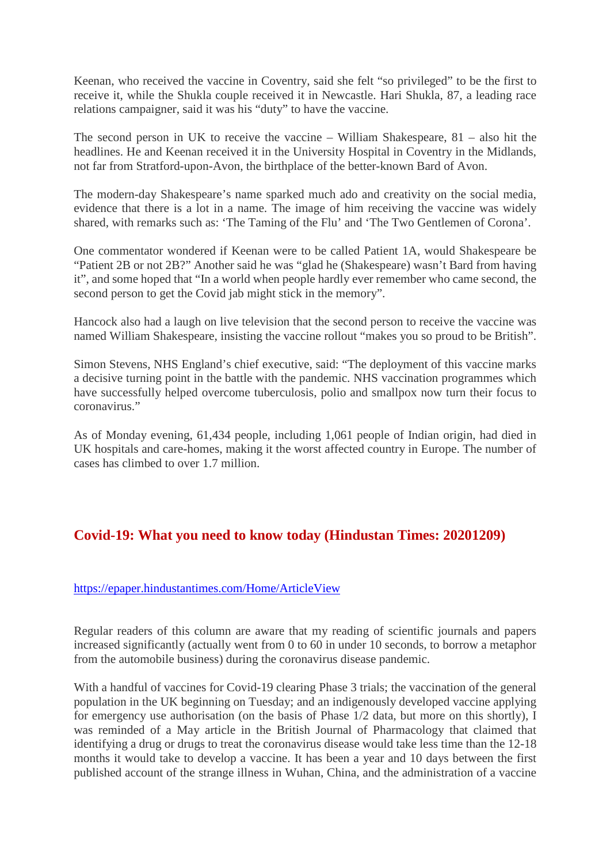Keenan, who received the vaccine in Coventry, said she felt "so privileged" to be the first to receive it, while the Shukla couple received it in Newcastle. Hari Shukla, 87, a leading race relations campaigner, said it was his "duty" to have the vaccine.

The second person in UK to receive the vaccine – William Shakespeare, 81 – also hit the headlines. He and Keenan received it in the University Hospital in Coventry in the Midlands, not far from Stratford-upon-Avon, the birthplace of the better-known Bard of Avon.

The modern-day Shakespeare's name sparked much ado and creativity on the social media, evidence that there is a lot in a name. The image of him receiving the vaccine was widely shared, with remarks such as: 'The Taming of the Flu' and 'The Two Gentlemen of Corona'.

One commentator wondered if Keenan were to be called Patient 1A, would Shakespeare be "Patient 2B or not 2B?" Another said he was "glad he (Shakespeare) wasn't Bard from having it", and some hoped that "In a world when people hardly ever remember who came second, the second person to get the Covid jab might stick in the memory".

Hancock also had a laugh on live television that the second person to receive the vaccine was named William Shakespeare, insisting the vaccine rollout "makes you so proud to be British".

Simon Stevens, NHS England's chief executive, said: "The deployment of this vaccine marks a decisive turning point in the battle with the pandemic. NHS vaccination programmes which have successfully helped overcome tuberculosis, polio and smallpox now turn their focus to coronavirus."

As of Monday evening, 61,434 people, including 1,061 people of Indian origin, had died in UK hospitals and care-homes, making it the worst affected country in Europe. The number of cases has climbed to over 1.7 million.

# **Covid-19: What you need to know today (Hindustan Times: 20201209)**

#### https://epaper.hindustantimes.com/Home/ArticleView

Regular readers of this column are aware that my reading of scientific journals and papers increased significantly (actually went from 0 to 60 in under 10 seconds, to borrow a metaphor from the automobile business) during the coronavirus disease pandemic.

With a handful of vaccines for Covid-19 clearing Phase 3 trials; the vaccination of the general population in the UK beginning on Tuesday; and an indigenously developed vaccine applying for emergency use authorisation (on the basis of Phase 1/2 data, but more on this shortly), I was reminded of a May article in the British Journal of Pharmacology that claimed that identifying a drug or drugs to treat the coronavirus disease would take less time than the 12-18 months it would take to develop a vaccine. It has been a year and 10 days between the first published account of the strange illness in Wuhan, China, and the administration of a vaccine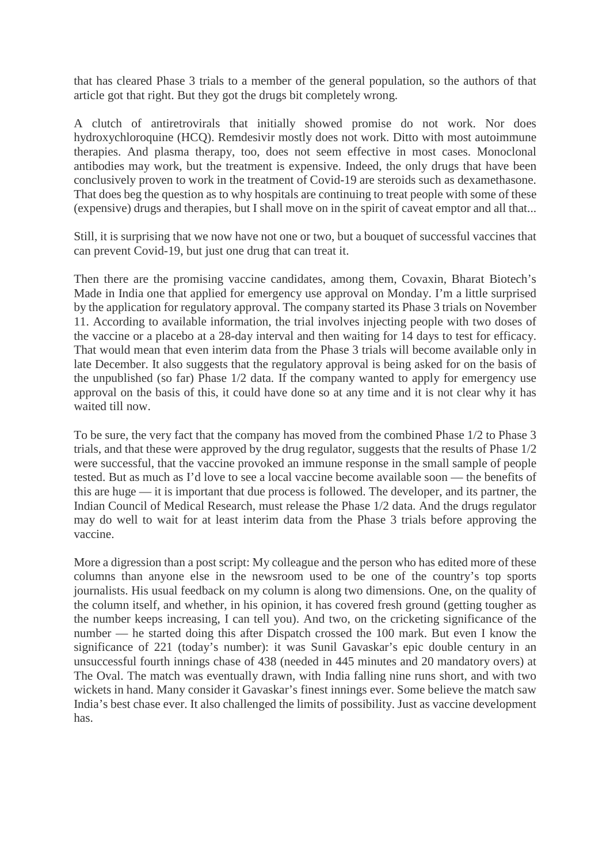that has cleared Phase 3 trials to a member of the general population, so the authors of that article got that right. But they got the drugs bit completely wrong.

A clutch of antiretrovirals that initially showed promise do not work. Nor does hydroxychloroquine (HCQ). Remdesivir mostly does not work. Ditto with most autoimmune therapies. And plasma therapy, too, does not seem effective in most cases. Monoclonal antibodies may work, but the treatment is expensive. Indeed, the only drugs that have been conclusively proven to work in the treatment of Covid-19 are steroids such as dexamethasone. That does beg the question as to why hospitals are continuing to treat people with some of these (expensive) drugs and therapies, but I shall move on in the spirit of caveat emptor and all that...

Still, it is surprising that we now have not one or two, but a bouquet of successful vaccines that can prevent Covid-19, but just one drug that can treat it.

Then there are the promising vaccine candidates, among them, Covaxin, Bharat Biotech's Made in India one that applied for emergency use approval on Monday. I'm a little surprised by the application for regulatory approval. The company started its Phase 3 trials on November 11. According to available information, the trial involves injecting people with two doses of the vaccine or a placebo at a 28-day interval and then waiting for 14 days to test for efficacy. That would mean that even interim data from the Phase 3 trials will become available only in late December. It also suggests that the regulatory approval is being asked for on the basis of the unpublished (so far) Phase 1/2 data. If the company wanted to apply for emergency use approval on the basis of this, it could have done so at any time and it is not clear why it has waited till now.

To be sure, the very fact that the company has moved from the combined Phase 1/2 to Phase 3 trials, and that these were approved by the drug regulator, suggests that the results of Phase 1/2 were successful, that the vaccine provoked an immune response in the small sample of people tested. But as much as I'd love to see a local vaccine become available soon — the benefits of this are huge — it is important that due process is followed. The developer, and its partner, the Indian Council of Medical Research, must release the Phase 1/2 data. And the drugs regulator may do well to wait for at least interim data from the Phase 3 trials before approving the vaccine.

More a digression than a post script: My colleague and the person who has edited more of these columns than anyone else in the newsroom used to be one of the country's top sports journalists. His usual feedback on my column is along two dimensions. One, on the quality of the column itself, and whether, in his opinion, it has covered fresh ground (getting tougher as the number keeps increasing, I can tell you). And two, on the cricketing significance of the number — he started doing this after Dispatch crossed the 100 mark. But even I know the significance of 221 (today's number): it was Sunil Gavaskar's epic double century in an unsuccessful fourth innings chase of 438 (needed in 445 minutes and 20 mandatory overs) at The Oval. The match was eventually drawn, with India falling nine runs short, and with two wickets in hand. Many consider it Gavaskar's finest innings ever. Some believe the match saw India's best chase ever. It also challenged the limits of possibility. Just as vaccine development has.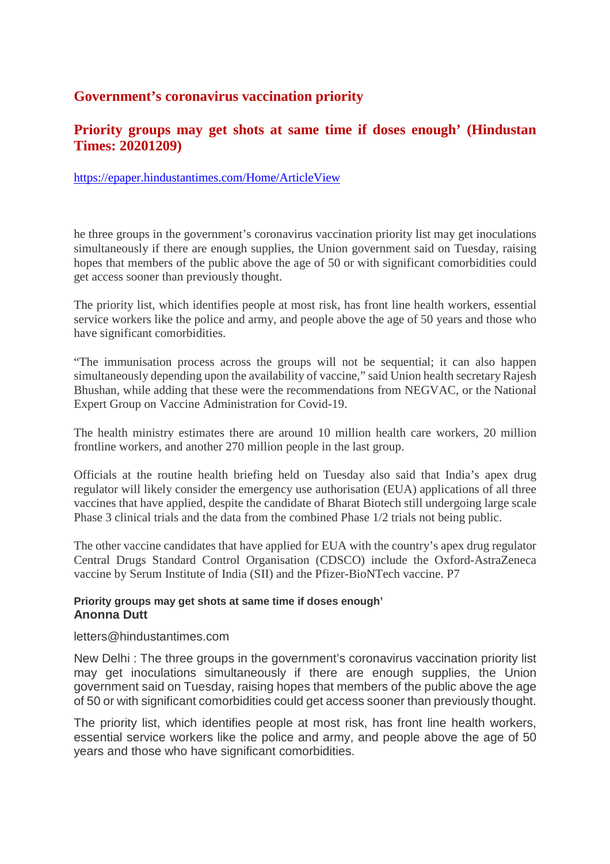# **Government's coronavirus vaccination priority**

# **Priority groups may get shots at same time if doses enough' (Hindustan Times: 20201209)**

https://epaper.hindustantimes.com/Home/ArticleView

he three groups in the government's coronavirus vaccination priority list may get inoculations simultaneously if there are enough supplies, the Union government said on Tuesday, raising hopes that members of the public above the age of 50 or with significant comorbidities could get access sooner than previously thought.

The priority list, which identifies people at most risk, has front line health workers, essential service workers like the police and army, and people above the age of 50 years and those who have significant comorbidities.

"The immunisation process across the groups will not be sequential; it can also happen simultaneously depending upon the availability of vaccine," said Union health secretary Rajesh Bhushan, while adding that these were the recommendations from NEGVAC, or the National Expert Group on Vaccine Administration for Covid-19.

The health ministry estimates there are around 10 million health care workers, 20 million frontline workers, and another 270 million people in the last group.

Officials at the routine health briefing held on Tuesday also said that India's apex drug regulator will likely consider the emergency use authorisation (EUA) applications of all three vaccines that have applied, despite the candidate of Bharat Biotech still undergoing large scale Phase 3 clinical trials and the data from the combined Phase 1/2 trials not being public.

The other vaccine candidates that have applied for EUA with the country's apex drug regulator Central Drugs Standard Control Organisation (CDSCO) include the Oxford-AstraZeneca vaccine by Serum Institute of India (SII) and the Pfizer-BioNTech vaccine. P7

#### **Priority groups may get shots at same time if doses enough' Anonna Dutt**

#### letters@hindustantimes.com

New Delhi : The three groups in the government's coronavirus vaccination priority list may get inoculations simultaneously if there are enough supplies, the Union government said on Tuesday, raising hopes that members of the public above the age of 50 or with significant comorbidities could get access sooner than previously thought.

The priority list, which identifies people at most risk, has front line health workers, essential service workers like the police and army, and people above the age of 50 years and those who have significant comorbidities.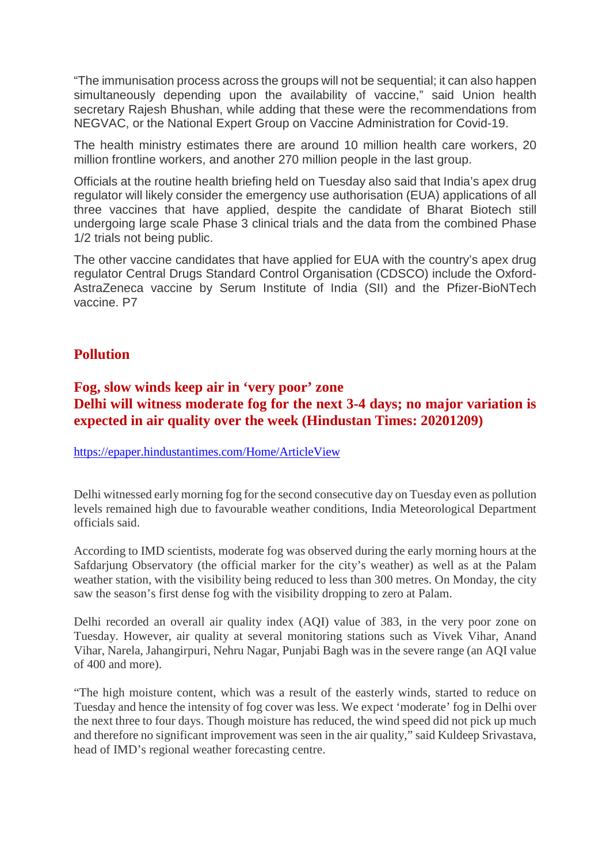"The immunisation process across the groups will not be sequential; it can also happen simultaneously depending upon the availability of vaccine," said Union health secretary Rajesh Bhushan, while adding that these were the recommendations from NEGVAC, or the National Expert Group on Vaccine Administration for Covid-19.

The health ministry estimates there are around 10 million health care workers, 20 million frontline workers, and another 270 million people in the last group.

Officials at the routine health briefing held on Tuesday also said that India's apex drug regulator will likely consider the emergency use authorisation (EUA) applications of all three vaccines that have applied, despite the candidate of Bharat Biotech still undergoing large scale Phase 3 clinical trials and the data from the combined Phase 1/2 trials not being public.

The other vaccine candidates that have applied for EUA with the country's apex drug regulator Central Drugs Standard Control Organisation (CDSCO) include the Oxford-AstraZeneca vaccine by Serum Institute of India (SII) and the Pfizer-BioNTech vaccine. P7

# **Pollution**

# **Fog, slow winds keep air in 'very poor' zone Delhi will witness moderate fog for the next 3-4 days; no major variation is expected in air quality over the week (Hindustan Times: 20201209)**

https://epaper.hindustantimes.com/Home/ArticleView

Delhi witnessed early morning fog for the second consecutive day on Tuesday even as pollution levels remained high due to favourable weather conditions, India Meteorological Department officials said.

According to IMD scientists, moderate fog was observed during the early morning hours at the Safdarjung Observatory (the official marker for the city's weather) as well as at the Palam weather station, with the visibility being reduced to less than 300 metres. On Monday, the city saw the season's first dense fog with the visibility dropping to zero at Palam.

Delhi recorded an overall air quality index (AQI) value of 383, in the very poor zone on Tuesday. However, air quality at several monitoring stations such as Vivek Vihar, Anand Vihar, Narela, Jahangirpuri, Nehru Nagar, Punjabi Bagh was in the severe range (an AQI value of 400 and more).

"The high moisture content, which was a result of the easterly winds, started to reduce on Tuesday and hence the intensity of fog cover was less. We expect 'moderate' fog in Delhi over the next three to four days. Though moisture has reduced, the wind speed did not pick up much and therefore no significant improvement was seen in the air quality," said Kuldeep Srivastava, head of IMD's regional weather forecasting centre.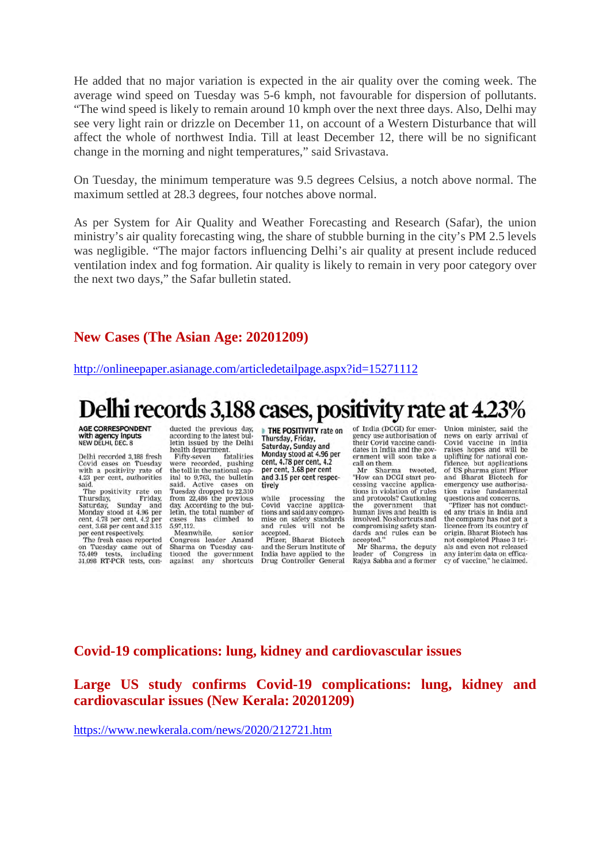He added that no major variation is expected in the air quality over the coming week. The average wind speed on Tuesday was 5-6 kmph, not favourable for dispersion of pollutants. "The wind speed is likely to remain around 10 kmph over the next three days. Also, Delhi may see very light rain or drizzle on December 11, on account of a Western Disturbance that will affect the whole of northwest India. Till at least December 12, there will be no significant change in the morning and night temperatures," said Srivastava.

On Tuesday, the minimum temperature was 9.5 degrees Celsius, a notch above normal. The maximum settled at 28.3 degrees, four notches above normal.

As per System for Air Quality and Weather Forecasting and Research (Safar), the union ministry's air quality forecasting wing, the share of stubble burning in the city's PM 2.5 levels was negligible. "The major factors influencing Delhi's air quality at present include reduced ventilation index and fog formation. Air quality is likely to remain in very poor category over the next two days," the Safar bulletin stated.

#### **New Cases (The Asian Age: 20201209)**

http://onlineepaper.asianage.com/articledetailpage.aspx?id=15271112

# Delhi records 3,188 cases, positivity rate at 4.23%

**AGE CORRESPONDENT** with agency inputs NEW DELHI, DEC. 8

Delhi recorded 3,188 fresh Covid cases on Tuesday<br>with a positivity rate of<br>4.23 per cent, authorities said.

said.<br>The positivity rate on<br>Thursday, Sunday and<br>Staturday, Sunday and<br>Monday stood at 4.96 per<br>cent, 4.78 per cent, a.2 per<br>cent, 3.68 per cent and 3.15<br>ner cent respectively per cent respectively.

The fresh cases reported<br>in Tuesday came out of on Tuesday came<br>75,409 tests, inc including 75,409 tests, including<br>31,098 RT-PCR tests, conducted the previous day,<br>according to the latest bulletin issued by the Delhi health department.

Fifty-seven fatalities<br>vere recorded, pushing were the toll in the national capital to 9,763, the bulletin<br>said. Active cases on said. Active cases on<br>Tuesday dropped to 22,310<br>from 22,486 the previous day. According to the bul-<br>letin, the total number of letin, the total number of<br>cases has climbed to<br>5,97,112. Meanwhile, senior

Congress leader Anami<br>Sharma on Tuesday cautioned the government<br>against any shortcuts

THE POSITIVITY rate on Thursday, Friday,<br>Saturday, Sunday and Monday stood at 4.96 per<br>cent, 4.78 per cent, 4.2<br>per cent, 3.68 per cent and 3.15 per cent respectively

while processing the vaccine applica-Covid tions and said any compro mise on safety standards<br>and rules will not be<br>accepted.

Pfizer, Bharat Biotech and the Serum Institute of India have applied to the Drug Controller General of India (DCGI) for emergency use authorisation of their Covid vaccine candi-<br>dates in India and the government will soon take a call on them.

tweeted. Mr Sharma Mr Sharma tweeted,<br>"How can DCGI start pro-<br>cessing vaccine applications in violation of rules<br>and protocols? Cautioning that the government human lives and health is<br>involved. No shortcuts and compromising safety standards and rules can be accepted.

Mr Sharma, the deputy<br>er of Congress in leader of Congress in<br>Rajya Sabha and a former

Union minister, said the news on early arrival of<br>Covid vaccine in India<br>raises hopes and will be uplifting for national con-<br>fidence, but applications<br>of US pharma giant Pfizer and Bharat Biotech for emergency use authorisaraise fundamental tion questions and concerns.

"Pfizer has not conducted any trials in India and the company has not got a licence from its country of<br>origin. Bharat Biotech has not completed Phase 3 trials and even not released any interim data on efficacy of vaccine," he claimed.

#### **Covid-19 complications: lung, kidney and cardiovascular issues**

**Large US study confirms Covid-19 complications: lung, kidney and cardiovascular issues (New Kerala: 20201209)**

https://www.newkerala.com/news/2020/212721.htm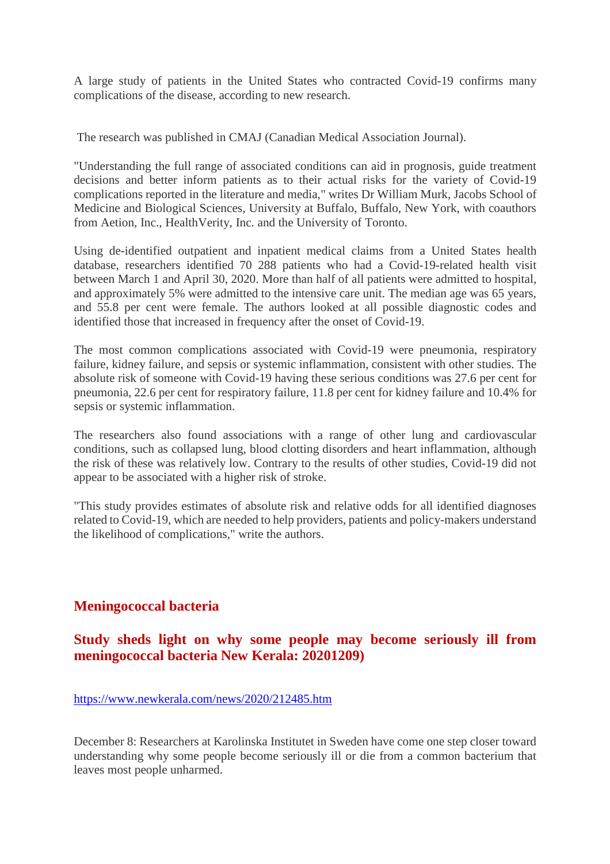A large study of patients in the United States who contracted Covid-19 confirms many complications of the disease, according to new research.

The research was published in CMAJ (Canadian Medical Association Journal).

"Understanding the full range of associated conditions can aid in prognosis, guide treatment decisions and better inform patients as to their actual risks for the variety of Covid-19 complications reported in the literature and media," writes Dr William Murk, Jacobs School of Medicine and Biological Sciences, University at Buffalo, Buffalo, New York, with coauthors from Aetion, Inc., HealthVerity, Inc. and the University of Toronto.

Using de-identified outpatient and inpatient medical claims from a United States health database, researchers identified 70 288 patients who had a Covid-19-related health visit between March 1 and April 30, 2020. More than half of all patients were admitted to hospital, and approximately 5% were admitted to the intensive care unit. The median age was 65 years, and 55.8 per cent were female. The authors looked at all possible diagnostic codes and identified those that increased in frequency after the onset of Covid-19.

The most common complications associated with Covid-19 were pneumonia, respiratory failure, kidney failure, and sepsis or systemic inflammation, consistent with other studies. The absolute risk of someone with Covid-19 having these serious conditions was 27.6 per cent for pneumonia, 22.6 per cent for respiratory failure, 11.8 per cent for kidney failure and 10.4% for sepsis or systemic inflammation.

The researchers also found associations with a range of other lung and cardiovascular conditions, such as collapsed lung, blood clotting disorders and heart inflammation, although the risk of these was relatively low. Contrary to the results of other studies, Covid-19 did not appear to be associated with a higher risk of stroke.

"This study provides estimates of absolute risk and relative odds for all identified diagnoses related to Covid-19, which are needed to help providers, patients and policy-makers understand the likelihood of complications," write the authors.

# **Meningococcal bacteria**

# **Study sheds light on why some people may become seriously ill from meningococcal bacteria New Kerala: 20201209)**

#### https://www.newkerala.com/news/2020/212485.htm

December 8: Researchers at Karolinska Institutet in Sweden have come one step closer toward understanding why some people become seriously ill or die from a common bacterium that leaves most people unharmed.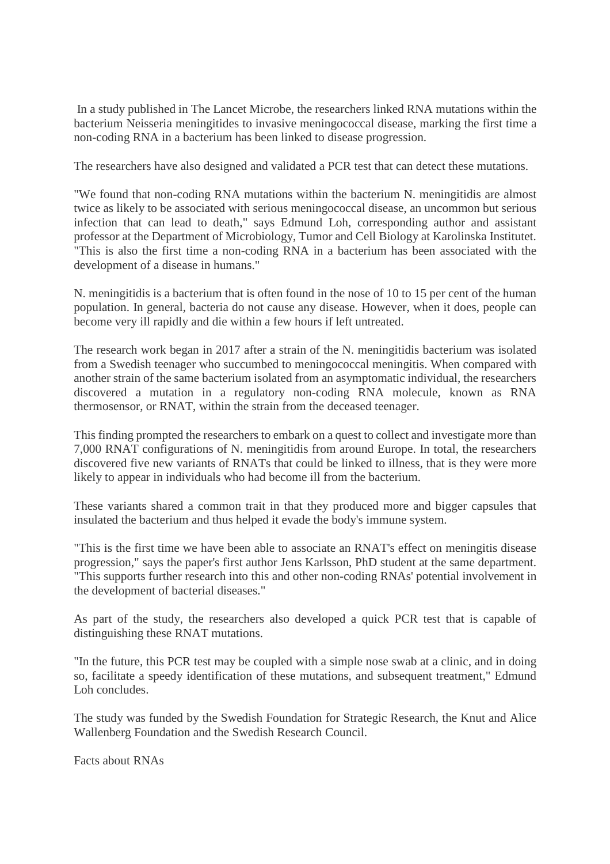In a study published in The Lancet Microbe, the researchers linked RNA mutations within the bacterium Neisseria meningitides to invasive meningococcal disease, marking the first time a non-coding RNA in a bacterium has been linked to disease progression.

The researchers have also designed and validated a PCR test that can detect these mutations.

"We found that non-coding RNA mutations within the bacterium N. meningitidis are almost twice as likely to be associated with serious meningococcal disease, an uncommon but serious infection that can lead to death," says Edmund Loh, corresponding author and assistant professor at the Department of Microbiology, Tumor and Cell Biology at Karolinska Institutet. "This is also the first time a non-coding RNA in a bacterium has been associated with the development of a disease in humans."

N. meningitidis is a bacterium that is often found in the nose of 10 to 15 per cent of the human population. In general, bacteria do not cause any disease. However, when it does, people can become very ill rapidly and die within a few hours if left untreated.

The research work began in 2017 after a strain of the N. meningitidis bacterium was isolated from a Swedish teenager who succumbed to meningococcal meningitis. When compared with another strain of the same bacterium isolated from an asymptomatic individual, the researchers discovered a mutation in a regulatory non-coding RNA molecule, known as RNA thermosensor, or RNAT, within the strain from the deceased teenager.

This finding prompted the researchers to embark on a quest to collect and investigate more than 7,000 RNAT configurations of N. meningitidis from around Europe. In total, the researchers discovered five new variants of RNATs that could be linked to illness, that is they were more likely to appear in individuals who had become ill from the bacterium.

These variants shared a common trait in that they produced more and bigger capsules that insulated the bacterium and thus helped it evade the body's immune system.

"This is the first time we have been able to associate an RNAT's effect on meningitis disease progression," says the paper's first author Jens Karlsson, PhD student at the same department. "This supports further research into this and other non-coding RNAs' potential involvement in the development of bacterial diseases."

As part of the study, the researchers also developed a quick PCR test that is capable of distinguishing these RNAT mutations.

"In the future, this PCR test may be coupled with a simple nose swab at a clinic, and in doing so, facilitate a speedy identification of these mutations, and subsequent treatment," Edmund Loh concludes.

The study was funded by the Swedish Foundation for Strategic Research, the Knut and Alice Wallenberg Foundation and the Swedish Research Council.

Facts about RNAs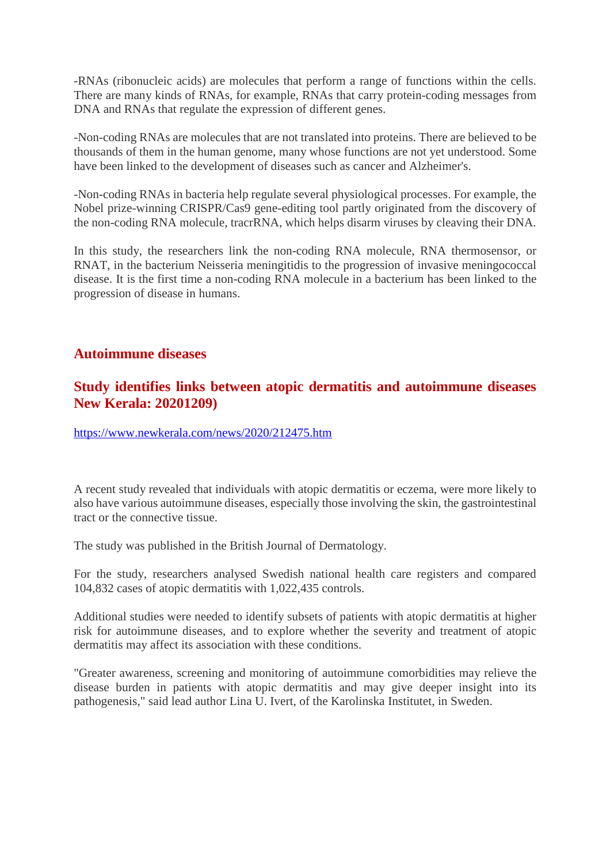-RNAs (ribonucleic acids) are molecules that perform a range of functions within the cells. There are many kinds of RNAs, for example, RNAs that carry protein-coding messages from DNA and RNAs that regulate the expression of different genes.

-Non-coding RNAs are molecules that are not translated into proteins. There are believed to be thousands of them in the human genome, many whose functions are not yet understood. Some have been linked to the development of diseases such as cancer and Alzheimer's.

-Non-coding RNAs in bacteria help regulate several physiological processes. For example, the Nobel prize-winning CRISPR/Cas9 gene-editing tool partly originated from the discovery of the non-coding RNA molecule, tracrRNA, which helps disarm viruses by cleaving their DNA.

In this study, the researchers link the non-coding RNA molecule, RNA thermosensor, or RNAT, in the bacterium Neisseria meningitidis to the progression of invasive meningococcal disease. It is the first time a non-coding RNA molecule in a bacterium has been linked to the progression of disease in humans.

## **Autoimmune diseases**

# **Study identifies links between atopic dermatitis and autoimmune diseases New Kerala: 20201209)**

https://www.newkerala.com/news/2020/212475.htm

A recent study revealed that individuals with atopic dermatitis or eczema, were more likely to also have various autoimmune diseases, especially those involving the skin, the gastrointestinal tract or the connective tissue.

The study was published in the British Journal of Dermatology.

For the study, researchers analysed Swedish national health care registers and compared 104,832 cases of atopic dermatitis with 1,022,435 controls.

Additional studies were needed to identify subsets of patients with atopic dermatitis at higher risk for autoimmune diseases, and to explore whether the severity and treatment of atopic dermatitis may affect its association with these conditions.

"Greater awareness, screening and monitoring of autoimmune comorbidities may relieve the disease burden in patients with atopic dermatitis and may give deeper insight into its pathogenesis," said lead author Lina U. Ivert, of the Karolinska Institutet, in Sweden.